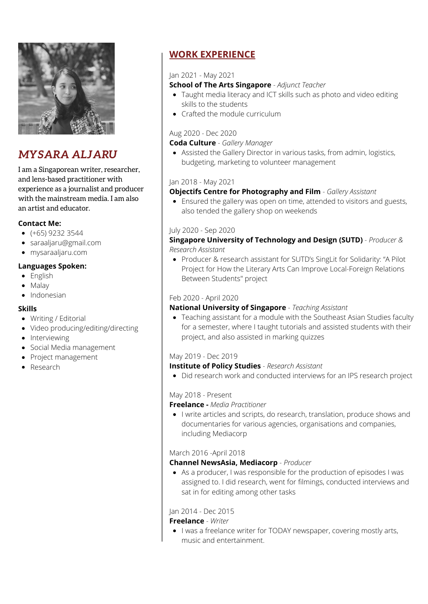

# *MYSARA ALJARU*

I am a Singaporean writer, researcher, and lens-based practitioner with experience as a journalist and producer with the mainstream media. I am also an artist and educator.

### **Contact Me:**

- $( +65)$  9232 3544
- saraaljaru@gmail.com
- mysaraaljaru.com

### **Languages Spoken:**

- English
- Malay
- Indonesian

### **Skills**

- Writing / Editorial
- Video producing/editing/directing
- Interviewing
- Social Media management
- Project management
- Research

# **WORK EXPERIENCE**

#### Jan 2021 - May 2021

#### **School of The Arts Singapore** - *Adjunct Teacher*

- Taught media literacy and ICT skills such as photo and video editing skills to the students
- Crafted the module curriculum

## Aug 2020 - Dec 2020

**Coda Culture** - *Gallery Manager*

Assisted the Gallery Director in various tasks, from admin, logistics, budgeting, marketing to volunteer management

#### Jan 2018 - May 2021

### **Objectifs Centre for Photography and Film** - *Gallery Assistant*

Ensured the gallery was open on time, attended to visitors and guests, also tended the gallery shop on weekends

#### July 2020 - Sep 2020

### **Singapore University of Technology and Design (SUTD)** - *Producer & Research Assistant*

Producer & research assistant for SUTD's SingLit for Solidarity: "A Pilot Project for How the Literary Arts Can Improve Local-Foreign Relations Between Students" project

#### Feb 2020 - April 2020

### **National University of Singapore** - *Teaching Assistant*

Teaching assistant for a module with the Southeast Asian Studies faculty for a semester, where I taught tutorials and assisted students with their project, and also assisted in marking quizzes

### May 2019 - Dec 2019

#### **Institute of Policy Studies** - *Research Assistant*

Did research work and conducted interviews for an IPS research project

#### May 2018 - Present

#### **Freelance -** *Media Practitioner*

I write articles and scripts, do research, translation, produce shows and documentaries for various agencies, organisations and companies, including Mediacorp

### March 2016 -April 2018

### **Channel NewsAsia, Mediacorp** - *Producer*

As a producer, I was responsible for the production of episodes I was assigned to. I did research, went for filmings, conducted interviews and sat in for editing among other tasks

### Jan 2014 - Dec 2015

#### **Freelance** - *Writer*

• I was a freelance writer for TODAY newspaper, covering mostly arts, music and entertainment.